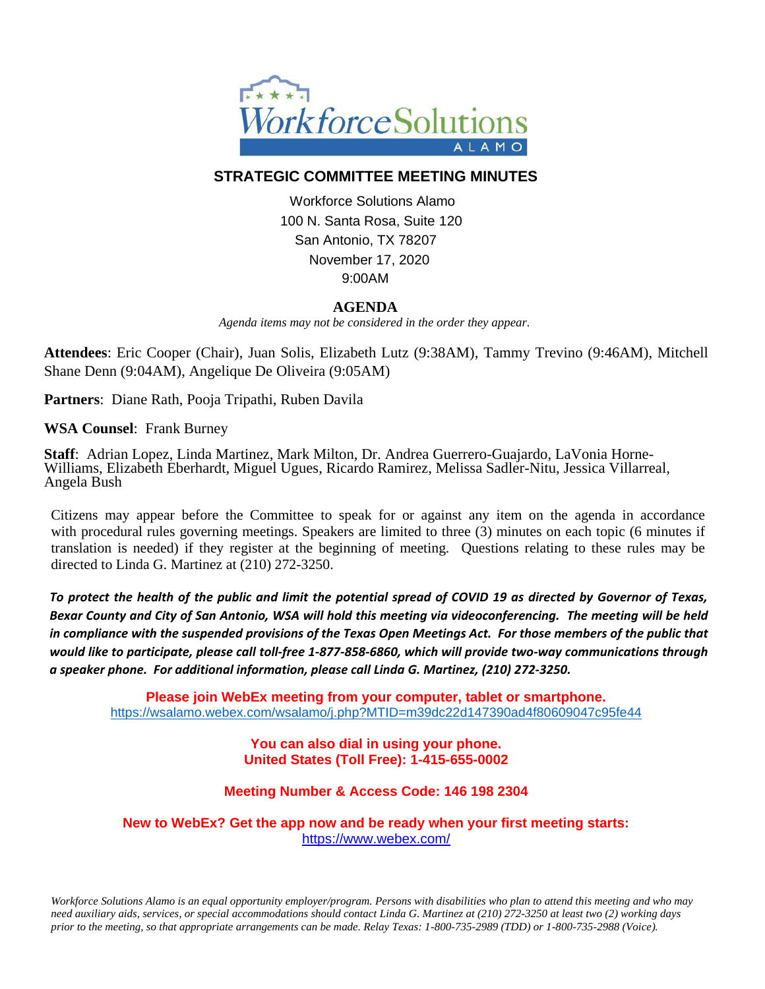

## **STRATEGIC COMMITTEE MEETING MINUTES**

Workforce Solutions Alamo 100 N. Santa Rosa, Suite 120 San Antonio, TX 78207 November 17, 2020 9:00AM

## **AGENDA**

 *Agenda items may not be considered in the order they appear.*

**Attendees**: Eric Cooper (Chair), Juan Solis, Elizabeth Lutz (9:38AM), Tammy Trevino (9:46AM), Mitchell Shane Denn (9:04AM), Angelique De Oliveira (9:05AM)

**Partners**: Diane Rath, Pooja Tripathi, Ruben Davila

**WSA Counsel**: Frank Burney

**Staff**: Adrian Lopez, Linda Martinez, Mark Milton, Dr. Andrea Guerrero-Guajardo, LaVonia Horne-Williams, Elizabeth Eberhardt, Miguel Ugues, Ricardo Ramirez, Melissa Sadler-Nitu, Jessica Villarreal, Angela Bush

Citizens may appear before the Committee to speak for or against any item on the agenda in accordance with procedural rules governing meetings. Speakers are limited to three (3) minutes on each topic (6 minutes if translation is needed) if they register at the beginning of meeting. Questions relating to these rules may be directed to Linda G. Martinez at (210) 272-3250.

*To protect the health of the public and limit the potential spread of COVID 19 as directed by Governor of Texas, Bexar County and City of San Antonio, WSA will hold this meeting via videoconferencing. The meeting will be held in compliance with the suspended provisions of the Texas Open Meetings Act. For those members of the public that would like to participate, please call toll-free 1-877-858-6860, which will provide two-way communications through a speaker phone. For additional information, please call Linda G. Martinez, (210) 272-3250.*

**Please join WebEx meeting from your computer, tablet or smartphone.**  <https://wsalamo.webex.com/wsalamo/j.php?MTID=m39dc22d147390ad4f80609047c95fe44>

> **You can also dial in using your phone. United States (Toll Free): 1-415-655-0002**

**Meeting Number & Access Code: 146 198 2304**

**New to WebEx? Get the app now and be ready when your first meeting starts:**  <https://www.webex.com/>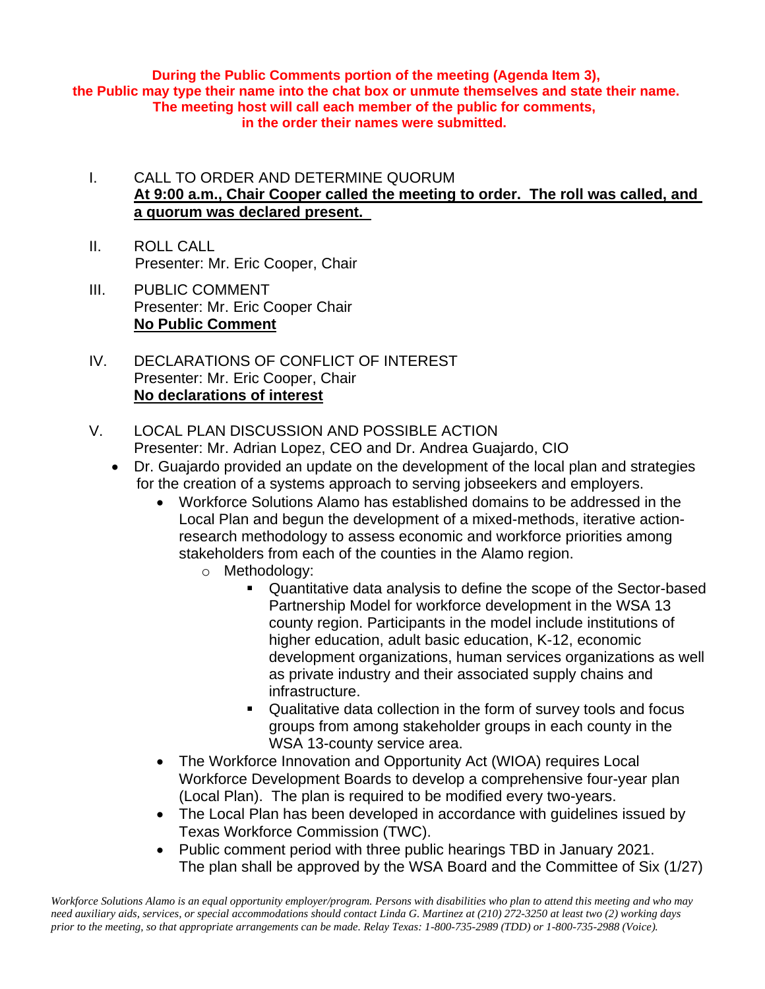**During the Public Comments portion of the meeting (Agenda Item 3), the Public may type their name into the chat box or unmute themselves and state their name. The meeting host will call each member of the public for comments, in the order their names were submitted.**

- I. CALL TO ORDER AND DETERMINE QUORUM **At 9:00 a.m., Chair Cooper called the meeting to order. The roll was called, and a quorum was declared present.**
- II. ROLL CALL Presenter: Mr. Eric Cooper, Chair
- III. PUBLIC COMMENT Presenter: Mr. Eric Cooper Chair **No Public Comment**
- IV. DECLARATIONS OF CONFLICT OF INTEREST Presenter: Mr. Eric Cooper, Chair **No declarations of interest**
- V. LOCAL PLAN DISCUSSION AND POSSIBLE ACTION Presenter: Mr. Adrian Lopez, CEO and Dr. Andrea Guajardo, CIO
	- Dr. Guajardo provided an update on the development of the local plan and strategies for the creation of a systems approach to serving jobseekers and employers.
		- Workforce Solutions Alamo has established domains to be addressed in the Local Plan and begun the development of a mixed-methods, iterative actionresearch methodology to assess economic and workforce priorities among stakeholders from each of the counties in the Alamo region.
			- o Methodology:
				- Quantitative data analysis to define the scope of the Sector-based Partnership Model for workforce development in the WSA 13 county region. Participants in the model include institutions of higher education, adult basic education, K-12, economic development organizations, human services organizations as well as private industry and their associated supply chains and infrastructure.
				- Qualitative data collection in the form of survey tools and focus groups from among stakeholder groups in each county in the WSA 13-county service area.
		- The Workforce Innovation and Opportunity Act (WIOA) requires Local Workforce Development Boards to develop a comprehensive four-year plan (Local Plan). The plan is required to be modified every two-years.
		- The Local Plan has been developed in accordance with quidelines issued by Texas Workforce Commission (TWC).
		- Public comment period with three public hearings TBD in January 2021. The plan shall be approved by the WSA Board and the Committee of Six (1/27)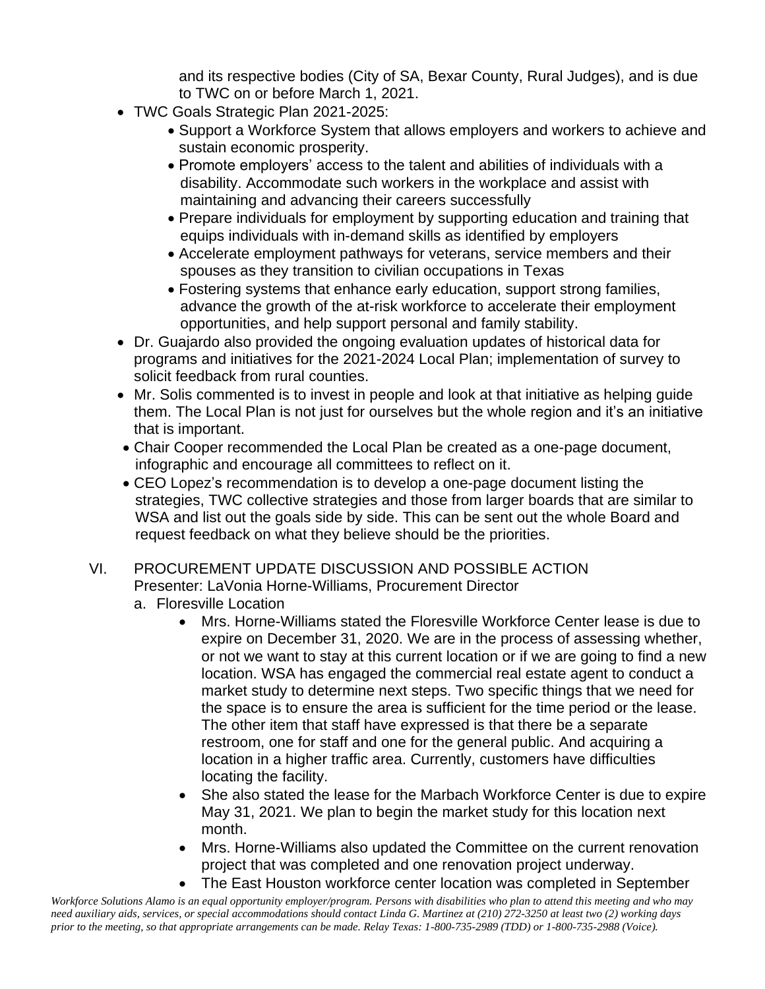and its respective bodies (City of SA, Bexar County, Rural Judges), and is due to TWC on or before March 1, 2021.

- TWC Goals Strategic Plan 2021-2025:
	- Support a Workforce System that allows employers and workers to achieve and sustain economic prosperity.
	- Promote employers' access to the talent and abilities of individuals with a disability. Accommodate such workers in the workplace and assist with maintaining and advancing their careers successfully
	- Prepare individuals for employment by supporting education and training that equips individuals with in-demand skills as identified by employers
	- Accelerate employment pathways for veterans, service members and their spouses as they transition to civilian occupations in Texas
	- Fostering systems that enhance early education, support strong families, advance the growth of the at-risk workforce to accelerate their employment opportunities, and help support personal and family stability.
- Dr. Guajardo also provided the ongoing evaluation updates of historical data for programs and initiatives for the 2021-2024 Local Plan; implementation of survey to solicit feedback from rural counties.
- Mr. Solis commented is to invest in people and look at that initiative as helping guide them. The Local Plan is not just for ourselves but the whole region and it's an initiative that is important.
- Chair Cooper recommended the Local Plan be created as a one-page document, infographic and encourage all committees to reflect on it.
- CEO Lopez's recommendation is to develop a one-page document listing the strategies, TWC collective strategies and those from larger boards that are similar to WSA and list out the goals side by side. This can be sent out the whole Board and request feedback on what they believe should be the priorities.
- VI. PROCUREMENT UPDATE DISCUSSION AND POSSIBLE ACTION Presenter: LaVonia Horne-Williams, Procurement Director
	- a. Floresville Location
		- Mrs. Horne-Williams stated the Floresville Workforce Center lease is due to expire on December 31, 2020. We are in the process of assessing whether, or not we want to stay at this current location or if we are going to find a new location. WSA has engaged the commercial real estate agent to conduct a market study to determine next steps. Two specific things that we need for the space is to ensure the area is sufficient for the time period or the lease. The other item that staff have expressed is that there be a separate restroom, one for staff and one for the general public. And acquiring a location in a higher traffic area. Currently, customers have difficulties locating the facility.
		- She also stated the lease for the Marbach Workforce Center is due to expire May 31, 2021. We plan to begin the market study for this location next month.
		- Mrs. Horne-Williams also updated the Committee on the current renovation project that was completed and one renovation project underway.
		- The East Houston workforce center location was completed in September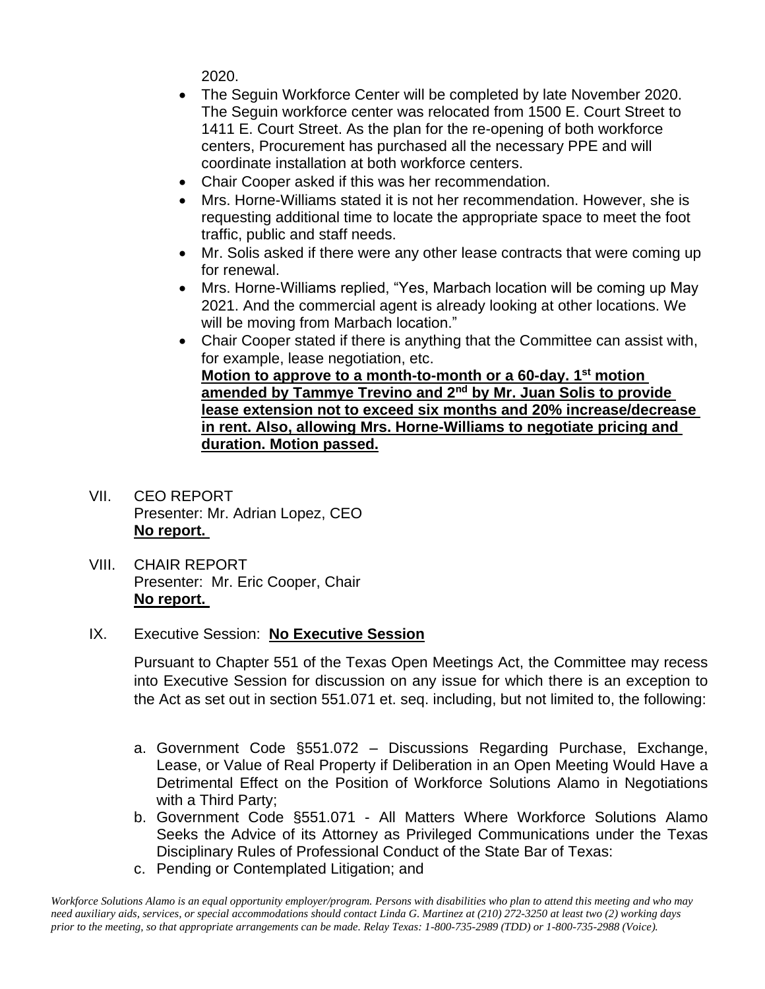2020.

- The Seguin Workforce Center will be completed by late November 2020. The Seguin workforce center was relocated from 1500 E. Court Street to 1411 E. Court Street. As the plan for the re-opening of both workforce centers, Procurement has purchased all the necessary PPE and will coordinate installation at both workforce centers.
- Chair Cooper asked if this was her recommendation.
- Mrs. Horne-Williams stated it is not her recommendation. However, she is requesting additional time to locate the appropriate space to meet the foot traffic, public and staff needs.
- Mr. Solis asked if there were any other lease contracts that were coming up for renewal.
- Mrs. Horne-Williams replied, "Yes, Marbach location will be coming up May 2021. And the commercial agent is already looking at other locations. We will be moving from Marbach location."
- Chair Cooper stated if there is anything that the Committee can assist with, for example, lease negotiation, etc. **Motion to approve to a month-to-month or a 60-day. 1st motion amended by Tammye Trevino and 2nd by Mr. Juan Solis to provide lease extension not to exceed six months and 20% increase/decrease in rent. Also, allowing Mrs. Horne-Williams to negotiate pricing and**
- VII. CEO REPORT Presenter: Mr. Adrian Lopez, CEO **No report.**
- VIII. CHAIR REPORT Presenter: Mr. Eric Cooper, Chair **No report.**

## IX. Executive Session: **No Executive Session**

**duration. Motion passed.**

Pursuant to Chapter 551 of the Texas Open Meetings Act, the Committee may recess into Executive Session for discussion on any issue for which there is an exception to the Act as set out in section 551.071 et. seq. including, but not limited to, the following:

- a. Government Code §551.072 Discussions Regarding Purchase, Exchange, Lease, or Value of Real Property if Deliberation in an Open Meeting Would Have a Detrimental Effect on the Position of Workforce Solutions Alamo in Negotiations with a Third Party;
- b. Government Code §551.071 All Matters Where Workforce Solutions Alamo Seeks the Advice of its Attorney as Privileged Communications under the Texas Disciplinary Rules of Professional Conduct of the State Bar of Texas:
- c. Pending or Contemplated Litigation; and